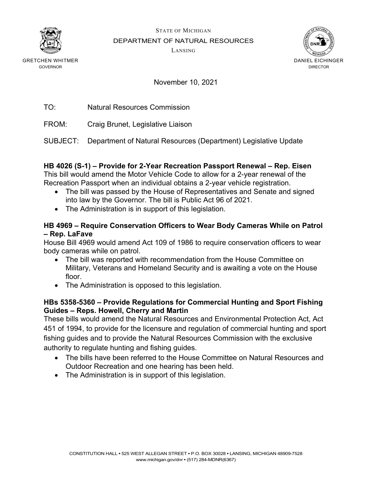



November 10, 2021

TO: Natural Resources Commission

FROM: Craig Brunet, Legislative Liaison

SUBJECT: Department of Natural Resources (Department) Legislative Update

# **HB 4026 (S-1) – Provide for 2-Year Recreation Passport Renewal – Rep. Eisen**

This bill would amend the Motor Vehicle Code to allow for a 2-year renewal of the Recreation Passport when an individual obtains a 2-year vehicle registration.

- The bill was passed by the House of Representatives and Senate and signed into law by the Governor. The bill is Public Act 96 of 2021.
- The Administration is in support of this legislation.

#### **HB 4969 – Require Conservation Officers to Wear Body Cameras While on Patrol – Rep. LaFave**

House Bill 4969 would amend Act 109 of 1986 to require conservation officers to wear body cameras while on patrol.

- The bill was reported with recommendation from the House Committee on Military, Veterans and Homeland Security and is awaiting a vote on the House floor.
- The Administration is opposed to this legislation.

#### **HBs 5358-5360 – Provide Regulations for Commercial Hunting and Sport Fishing Guides – Reps. Howell, Cherry and Martin**

These bills would amend the Natural Resources and Environmental Protection Act, Act 451 of 1994, to provide for the licensure and regulation of commercial hunting and sport fishing guides and to provide the Natural Resources Commission with the exclusive authority to regulate hunting and fishing guides.

- The bills have been referred to the House Committee on Natural Resources and Outdoor Recreation and one hearing has been held.
- The Administration is in support of this legislation.